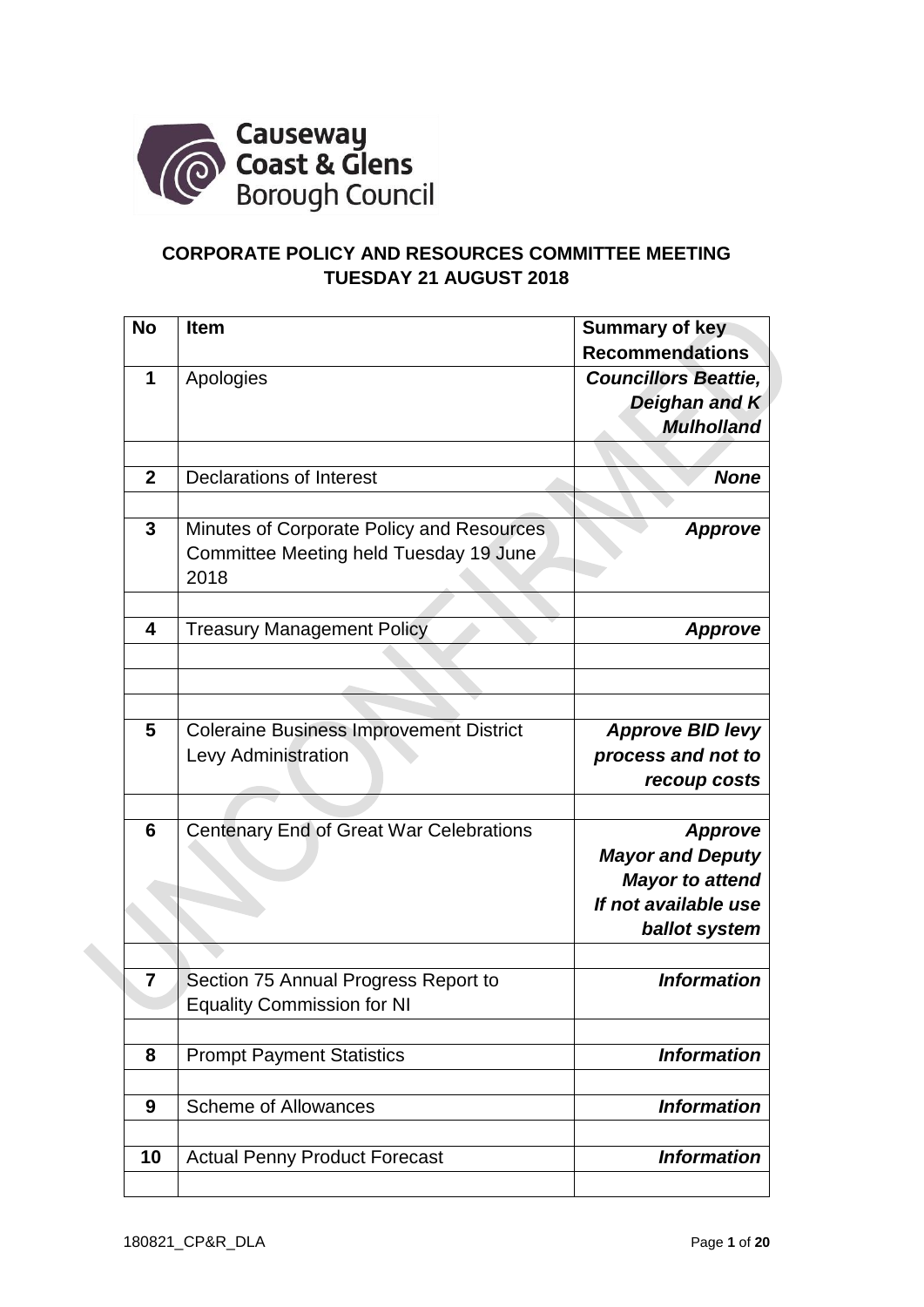

# **CORPORATE POLICY AND RESOURCES COMMITTEE MEETING TUESDAY 21 AUGUST 2018**

| <b>No</b>        | <b>Item</b>                                                                                 | <b>Summary of key</b><br><b>Recommendations</b>                                                              |
|------------------|---------------------------------------------------------------------------------------------|--------------------------------------------------------------------------------------------------------------|
| 1                | Apologies                                                                                   | <b>Councillors Beattie,</b><br>Deighan and K<br><b>Mulholland</b>                                            |
|                  |                                                                                             |                                                                                                              |
| $\overline{2}$   | <b>Declarations of Interest</b>                                                             | <b>None</b>                                                                                                  |
| $\mathbf{3}$     | Minutes of Corporate Policy and Resources<br>Committee Meeting held Tuesday 19 June<br>2018 | <b>Approve</b>                                                                                               |
| 4                | <b>Treasury Management Policy</b>                                                           | <b>Approve</b>                                                                                               |
|                  |                                                                                             |                                                                                                              |
|                  |                                                                                             |                                                                                                              |
|                  |                                                                                             |                                                                                                              |
| 5                | <b>Coleraine Business Improvement District</b><br>Levy Administration                       | <b>Approve BID levy</b><br>process and not to<br>recoup costs                                                |
|                  |                                                                                             |                                                                                                              |
| $6\phantom{1}6$  | Centenary End of Great War Celebrations                                                     | <b>Approve</b><br><b>Mayor and Deputy</b><br><b>Mayor to attend</b><br>If not available use<br>ballot system |
|                  |                                                                                             |                                                                                                              |
| $\overline{7}$   | Section 75 Annual Progress Report to<br><b>Equality Commission for NI</b>                   | <b>Information</b>                                                                                           |
|                  |                                                                                             |                                                                                                              |
| 8                | <b>Prompt Payment Statistics</b>                                                            | <b>Information</b>                                                                                           |
| $\boldsymbol{9}$ | <b>Scheme of Allowances</b>                                                                 | <b>Information</b>                                                                                           |
| 10               | <b>Actual Penny Product Forecast</b>                                                        | <b>Information</b>                                                                                           |
|                  |                                                                                             |                                                                                                              |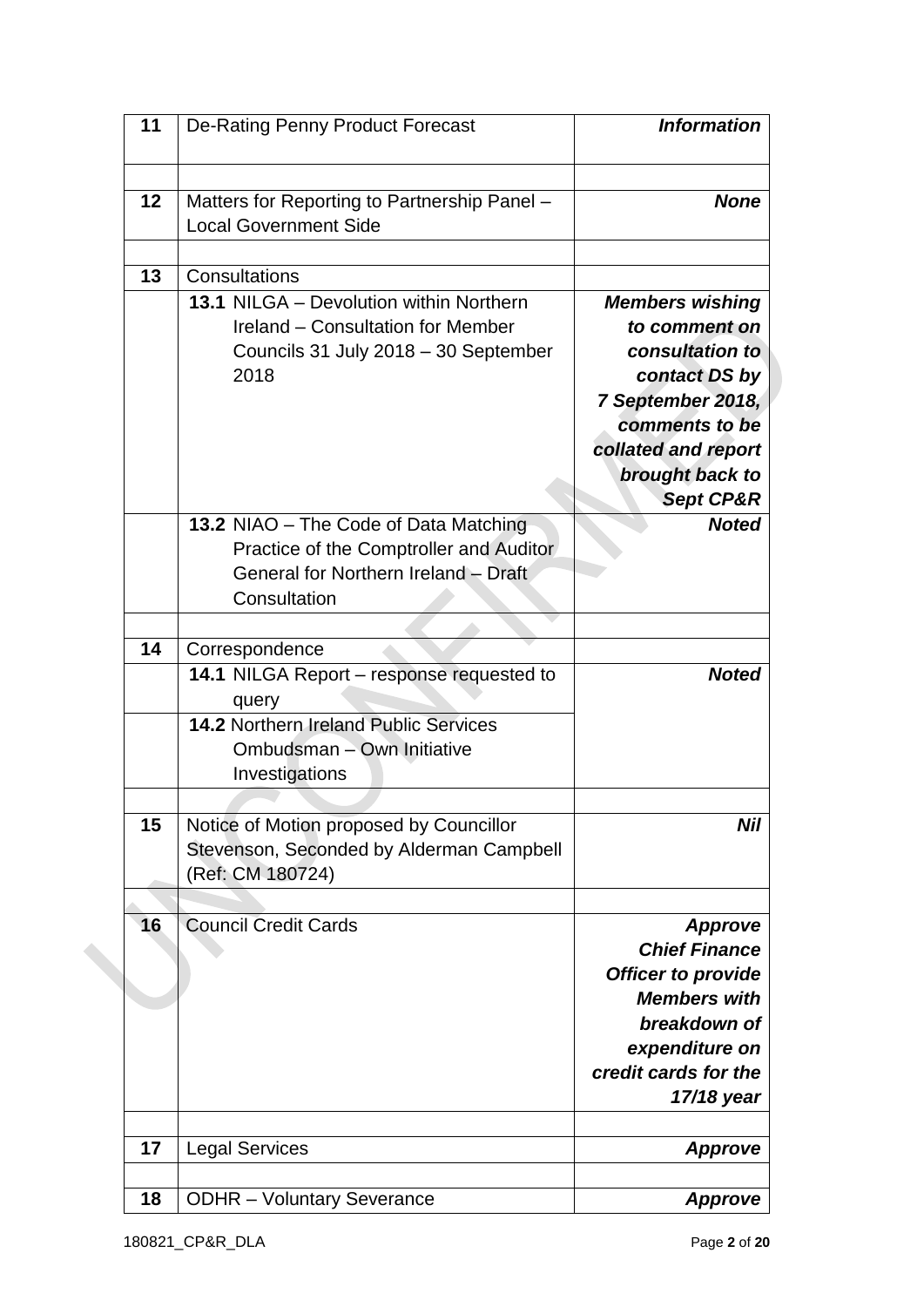| 11 | De-Rating Penny Product Forecast                                                                                                                                     | <b>Information</b>                                                                                                                                                                   |
|----|----------------------------------------------------------------------------------------------------------------------------------------------------------------------|--------------------------------------------------------------------------------------------------------------------------------------------------------------------------------------|
| 12 | Matters for Reporting to Partnership Panel -<br><b>Local Government Side</b>                                                                                         | <b>None</b>                                                                                                                                                                          |
| 13 | Consultations<br>13.1 NILGA - Devolution within Northern<br>Ireland - Consultation for Member<br>Councils 31 July 2018 - 30 September<br>2018                        | <b>Members wishing</b><br>to comment on<br>consultation to<br>contact DS by<br>7 September 2018,<br>comments to be<br>collated and report<br>brought back to<br><b>Sept CP&amp;R</b> |
|    | 13.2 NIAO - The Code of Data Matching<br>Practice of the Comptroller and Auditor<br>General for Northern Ireland - Draft<br>Consultation                             | <b>Noted</b>                                                                                                                                                                         |
| 14 | Correspondence<br>14.1 NILGA Report - response requested to<br>query<br><b>14.2 Northern Ireland Public Services</b><br>Ombudsman - Own Initiative<br>Investigations | <b>Noted</b>                                                                                                                                                                         |
| 15 | Notice of Motion proposed by Councillor<br>Stevenson, Seconded by Alderman Campbell<br>(Ref: CM 180724)                                                              | <b>Nil</b>                                                                                                                                                                           |
| 16 | <b>Council Credit Cards</b>                                                                                                                                          | <b>Approve</b><br><b>Chief Finance</b><br><b>Officer to provide</b><br><b>Members with</b><br>breakdown of<br>expenditure on<br>credit cards for the<br>17/18 year                   |
| 17 | <b>Legal Services</b>                                                                                                                                                | <b>Approve</b>                                                                                                                                                                       |
| 18 | <b>ODHR</b> - Voluntary Severance                                                                                                                                    | <b>Approve</b>                                                                                                                                                                       |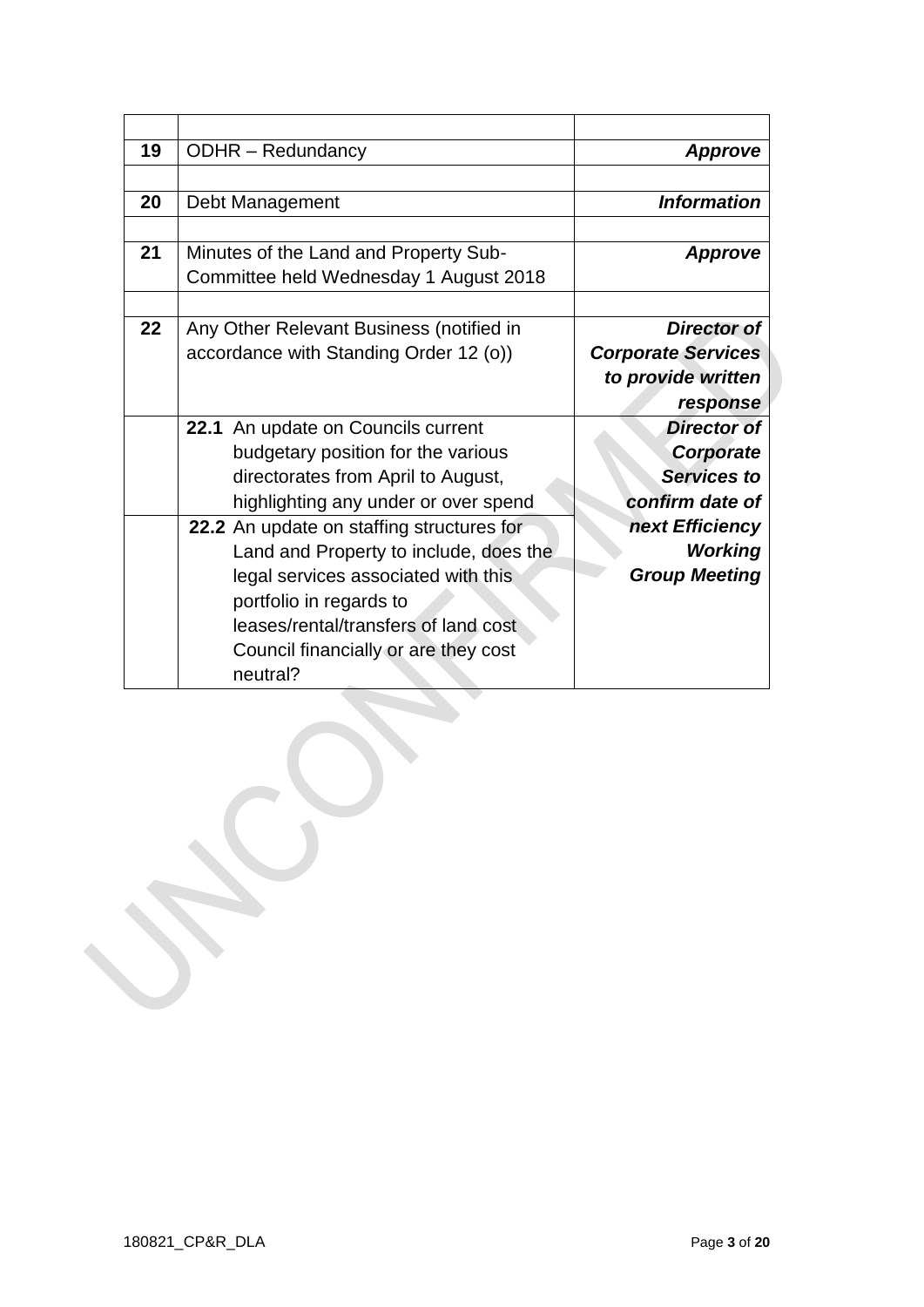| 19 | <b>ODHR</b> – Redundancy                  | Approve                   |
|----|-------------------------------------------|---------------------------|
|    |                                           |                           |
| 20 | Debt Management                           | <b>Information</b>        |
|    |                                           |                           |
| 21 | Minutes of the Land and Property Sub-     | <b>Approve</b>            |
|    | Committee held Wednesday 1 August 2018    |                           |
|    |                                           |                           |
| 22 | Any Other Relevant Business (notified in  | Director of               |
|    | accordance with Standing Order 12 (o))    | <b>Corporate Services</b> |
|    |                                           | to provide written        |
|    |                                           | response                  |
|    | 22.1 An update on Councils current        | <b>Director of</b>        |
|    | budgetary position for the various        | Corporate                 |
|    | directorates from April to August,        | <b>Services to</b>        |
|    | highlighting any under or over spend      | confirm date of           |
|    | 22.2 An update on staffing structures for | next Efficiency           |
|    | Land and Property to include, does the    | <b>Working</b>            |
|    | legal services associated with this       | <b>Group Meeting</b>      |
|    | portfolio in regards to                   |                           |
|    | leases/rental/transfers of land cost      |                           |
|    | Council financially or are they cost      |                           |
|    | neutral?                                  |                           |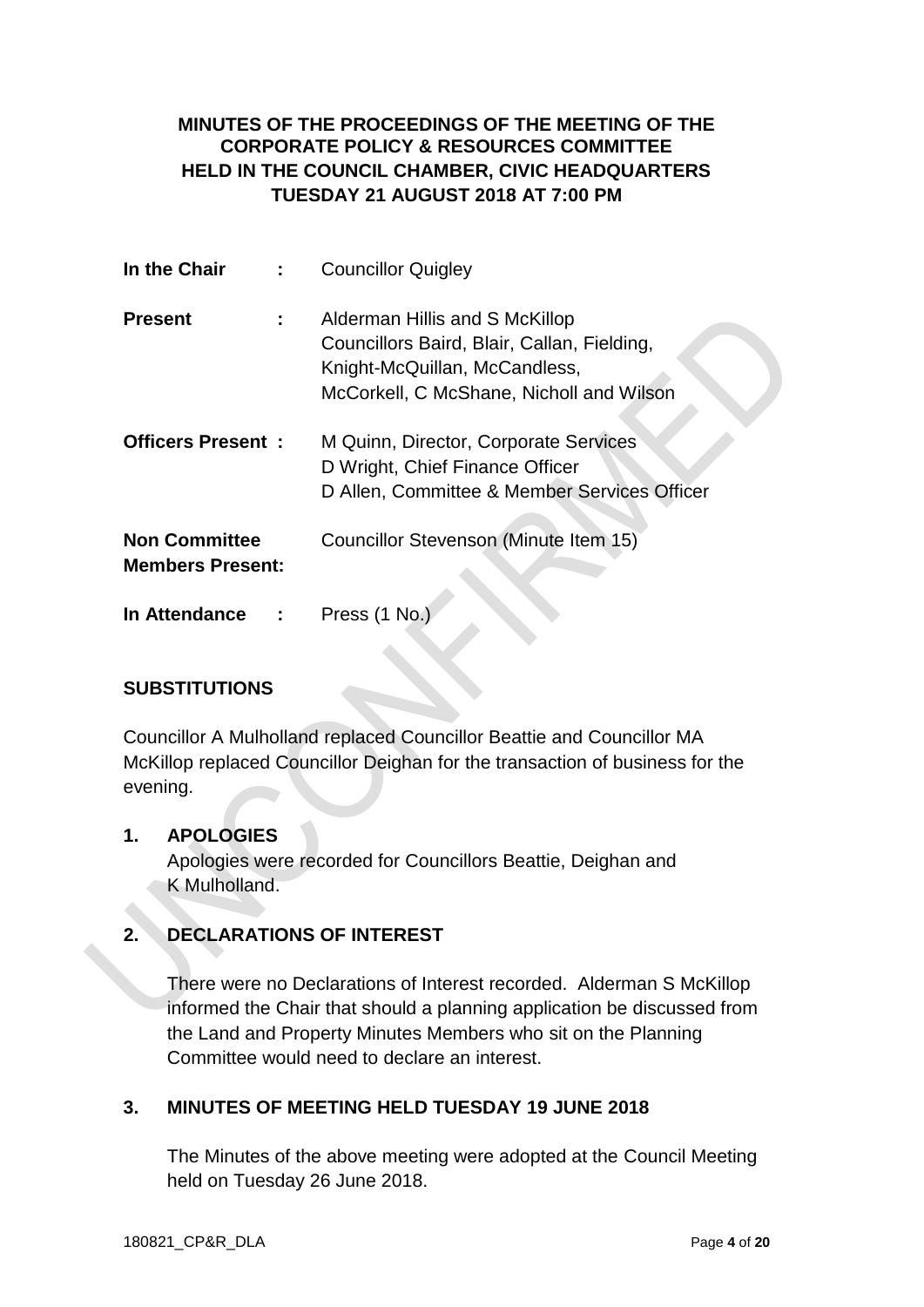## **MINUTES OF THE PROCEEDINGS OF THE MEETING OF THE CORPORATE POLICY & RESOURCES COMMITTEE HELD IN THE COUNCIL CHAMBER, CIVIC HEADQUARTERS TUESDAY 21 AUGUST 2018 AT 7:00 PM**

| In the Chair                                    | <b>Councillor Quigley</b>                    |
|-------------------------------------------------|----------------------------------------------|
| <b>Present</b>                                  | Alderman Hillis and S McKillop               |
|                                                 | Councillors Baird, Blair, Callan, Fielding,  |
|                                                 | Knight-McQuillan, McCandless,                |
|                                                 | McCorkell, C McShane, Nicholl and Wilson     |
| <b>Officers Present:</b>                        | M Quinn, Director, Corporate Services        |
|                                                 | D Wright, Chief Finance Officer              |
|                                                 | D Allen, Committee & Member Services Officer |
| <b>Non Committee</b><br><b>Members Present:</b> | Councillor Stevenson (Minute Item 15)        |
| In Attendance                                   | Press (1 No.                                 |

## **SUBSTITUTIONS**

Councillor A Mulholland replaced Councillor Beattie and Councillor MA McKillop replaced Councillor Deighan for the transaction of business for the evening.

### **1. APOLOGIES**

Apologies were recorded for Councillors Beattie, Deighan and K Mulholland.

## **2. DECLARATIONS OF INTEREST**

There were no Declarations of Interest recorded. Alderman S McKillop informed the Chair that should a planning application be discussed from the Land and Property Minutes Members who sit on the Planning Committee would need to declare an interest.

### **3. MINUTES OF MEETING HELD TUESDAY 19 JUNE 2018**

The Minutes of the above meeting were adopted at the Council Meeting held on Tuesday 26 June 2018.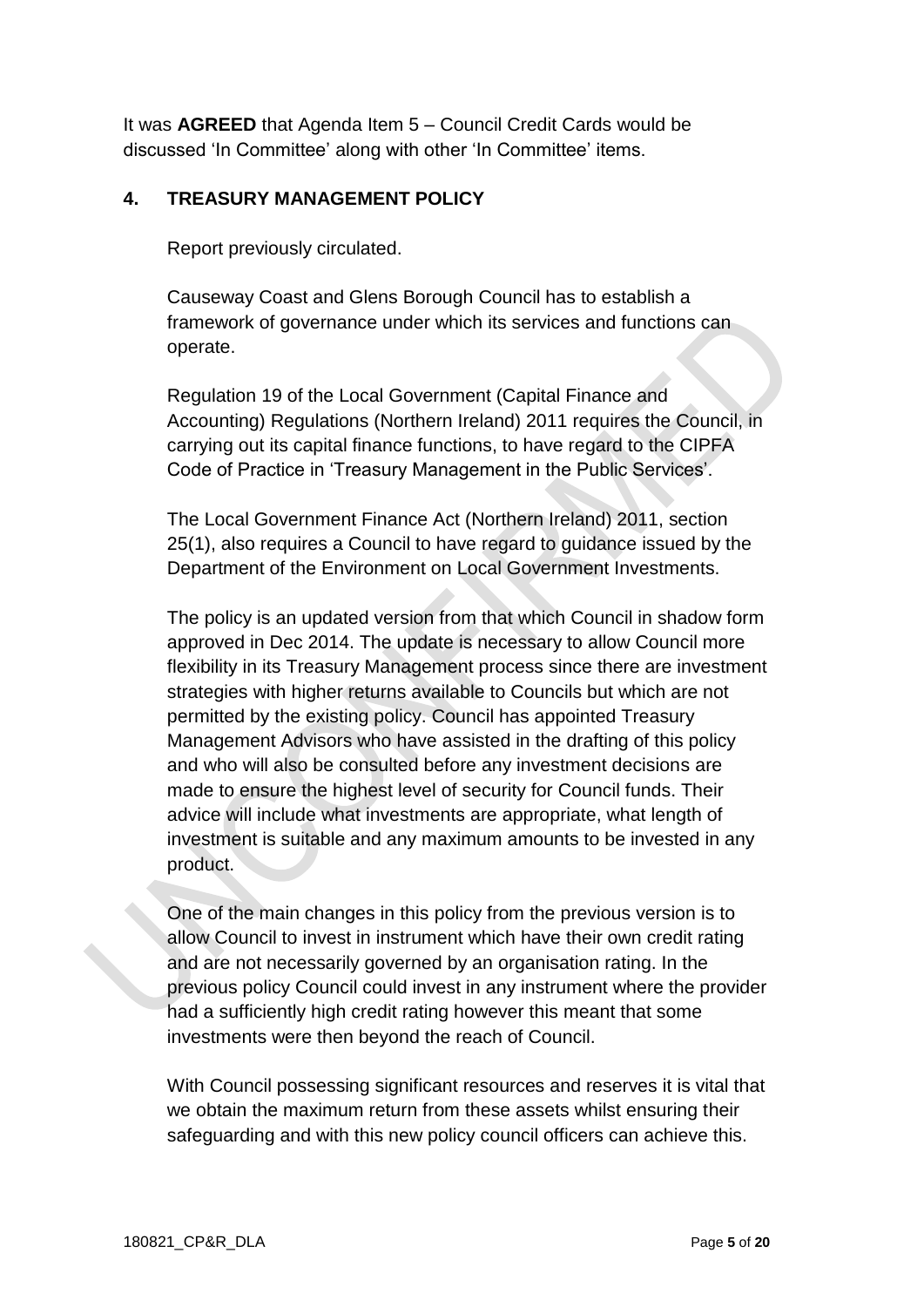It was **AGREED** that Agenda Item 5 – Council Credit Cards would be discussed 'In Committee' along with other 'In Committee' items.

### **4. TREASURY MANAGEMENT POLICY**

Report previously circulated.

Causeway Coast and Glens Borough Council has to establish a framework of governance under which its services and functions can operate.

Regulation 19 of the Local Government (Capital Finance and Accounting) Regulations (Northern Ireland) 2011 requires the Council, in carrying out its capital finance functions, to have regard to the CIPFA Code of Practice in 'Treasury Management in the Public Services'.

The Local Government Finance Act (Northern Ireland) 2011, section 25(1), also requires a Council to have regard to guidance issued by the Department of the Environment on Local Government Investments.

The policy is an updated version from that which Council in shadow form approved in Dec 2014. The update is necessary to allow Council more flexibility in its Treasury Management process since there are investment strategies with higher returns available to Councils but which are not permitted by the existing policy. Council has appointed Treasury Management Advisors who have assisted in the drafting of this policy and who will also be consulted before any investment decisions are made to ensure the highest level of security for Council funds. Their advice will include what investments are appropriate, what length of investment is suitable and any maximum amounts to be invested in any product.

One of the main changes in this policy from the previous version is to allow Council to invest in instrument which have their own credit rating and are not necessarily governed by an organisation rating. In the previous policy Council could invest in any instrument where the provider had a sufficiently high credit rating however this meant that some investments were then beyond the reach of Council.

With Council possessing significant resources and reserves it is vital that we obtain the maximum return from these assets whilst ensuring their safeguarding and with this new policy council officers can achieve this.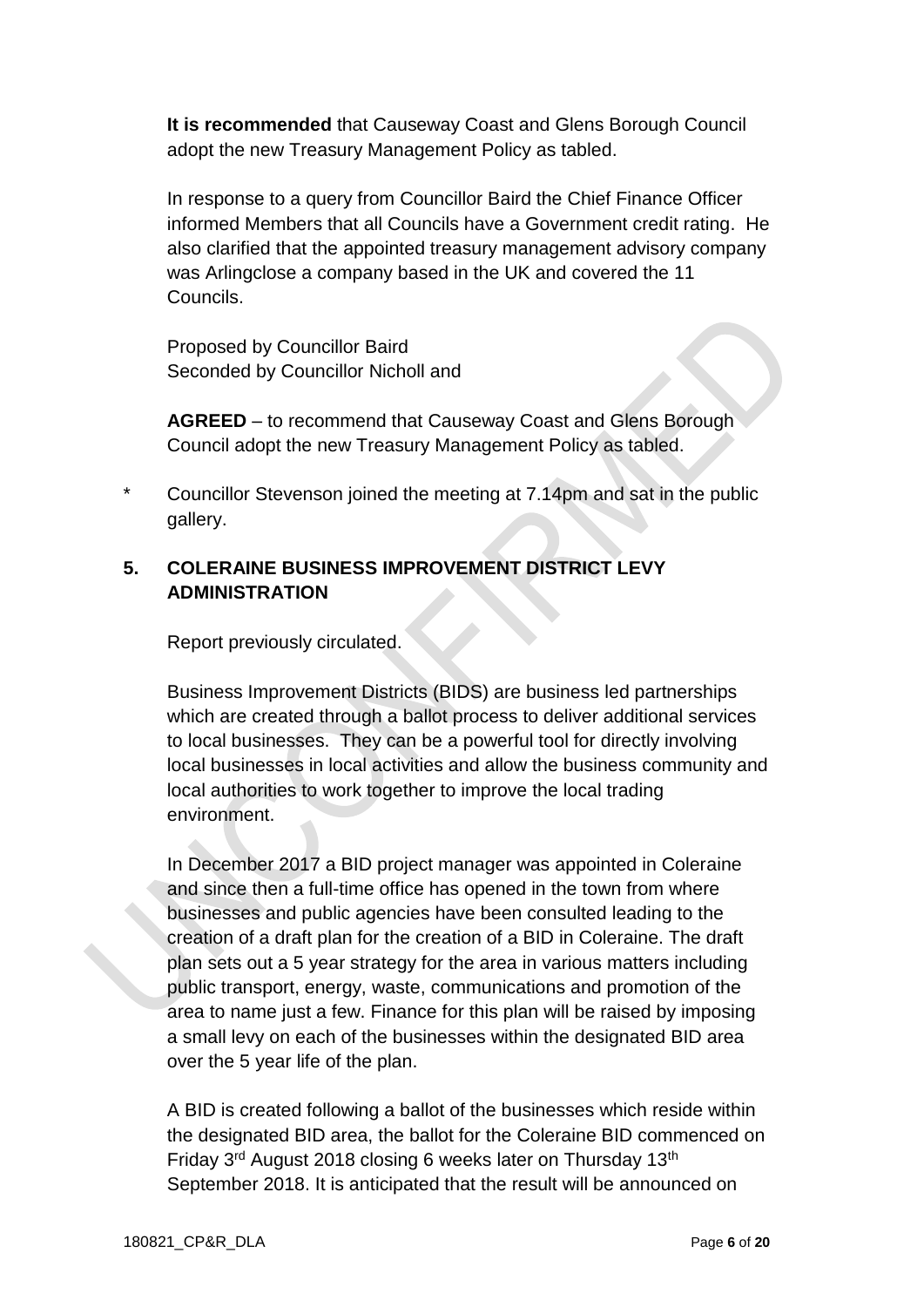**It is recommended** that Causeway Coast and Glens Borough Council adopt the new Treasury Management Policy as tabled.

In response to a query from Councillor Baird the Chief Finance Officer informed Members that all Councils have a Government credit rating. He also clarified that the appointed treasury management advisory company was Arlingclose a company based in the UK and covered the 11 Councils.

Proposed by Councillor Baird Seconded by Councillor Nicholl and

**AGREED** – to recommend that Causeway Coast and Glens Borough Council adopt the new Treasury Management Policy as tabled.

Councillor Stevenson joined the meeting at 7.14pm and sat in the public gallery.

## **5. COLERAINE BUSINESS IMPROVEMENT DISTRICT LEVY ADMINISTRATION**

Report previously circulated.

Business Improvement Districts (BIDS) are business led partnerships which are created through a ballot process to deliver additional services to local businesses. They can be a powerful tool for directly involving local businesses in local activities and allow the business community and local authorities to work together to improve the local trading environment.

In December 2017 a BID project manager was appointed in Coleraine and since then a full-time office has opened in the town from where businesses and public agencies have been consulted leading to the creation of a draft plan for the creation of a BID in Coleraine. The draft plan sets out a 5 year strategy for the area in various matters including public transport, energy, waste, communications and promotion of the area to name just a few. Finance for this plan will be raised by imposing a small levy on each of the businesses within the designated BID area over the 5 year life of the plan.

A BID is created following a ballot of the businesses which reside within the designated BID area, the ballot for the Coleraine BID commenced on Friday 3<sup>rd</sup> August 2018 closing 6 weeks later on Thursday 13<sup>th</sup> September 2018. It is anticipated that the result will be announced on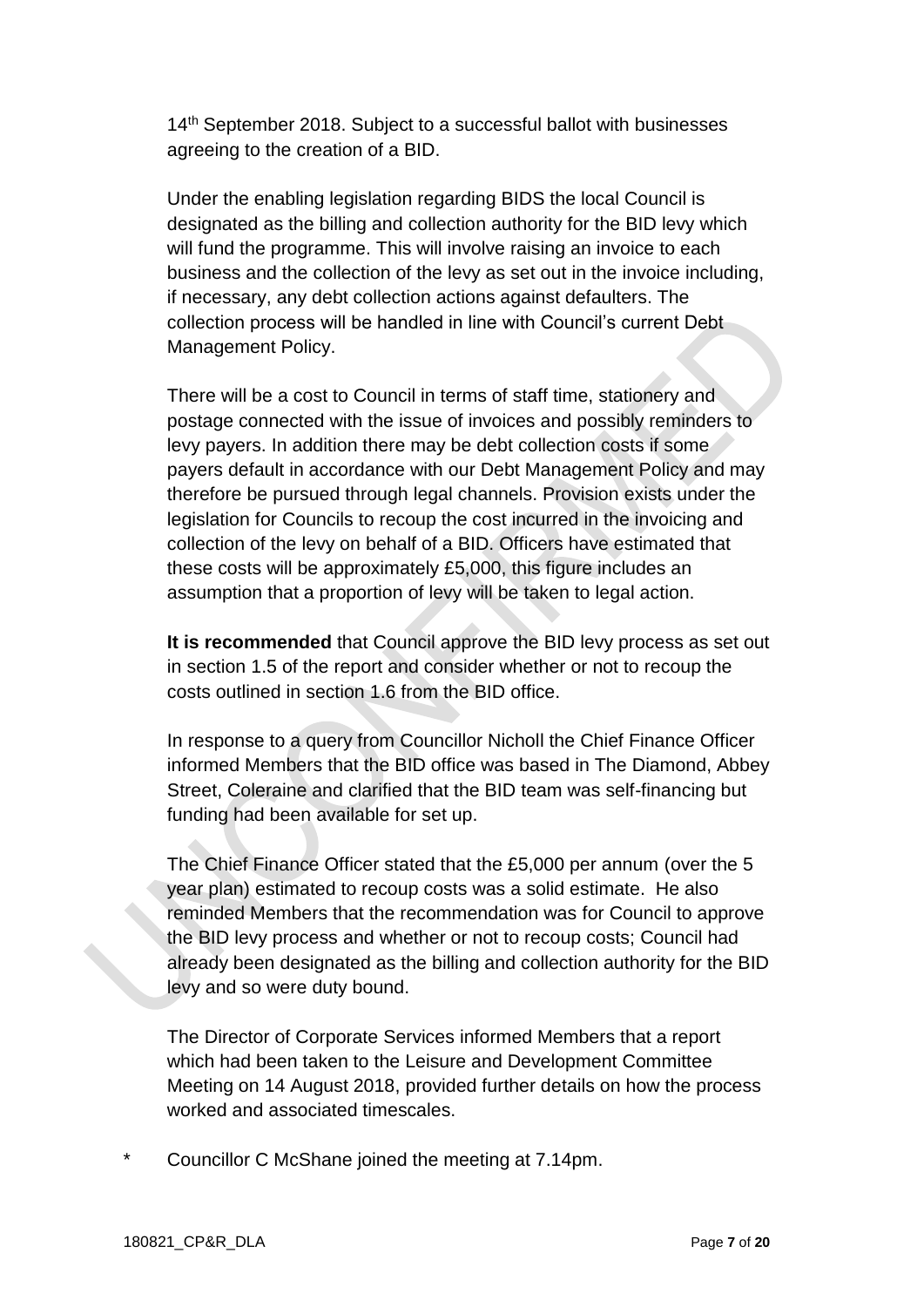14<sup>th</sup> September 2018. Subject to a successful ballot with businesses agreeing to the creation of a BID.

Under the enabling legislation regarding BIDS the local Council is designated as the billing and collection authority for the BID levy which will fund the programme. This will involve raising an invoice to each business and the collection of the levy as set out in the invoice including, if necessary, any debt collection actions against defaulters. The collection process will be handled in line with Council's current Debt Management Policy.

There will be a cost to Council in terms of staff time, stationery and postage connected with the issue of invoices and possibly reminders to levy payers. In addition there may be debt collection costs if some payers default in accordance with our Debt Management Policy and may therefore be pursued through legal channels. Provision exists under the legislation for Councils to recoup the cost incurred in the invoicing and collection of the levy on behalf of a BID. Officers have estimated that these costs will be approximately £5,000, this figure includes an assumption that a proportion of levy will be taken to legal action.

**It is recommended** that Council approve the BID levy process as set out in section 1.5 of the report and consider whether or not to recoup the costs outlined in section 1.6 from the BID office.

In response to a query from Councillor Nicholl the Chief Finance Officer informed Members that the BID office was based in The Diamond, Abbey Street, Coleraine and clarified that the BID team was self-financing but funding had been available for set up.

The Chief Finance Officer stated that the £5,000 per annum (over the 5 year plan) estimated to recoup costs was a solid estimate. He also reminded Members that the recommendation was for Council to approve the BID levy process and whether or not to recoup costs; Council had already been designated as the billing and collection authority for the BID levy and so were duty bound.

The Director of Corporate Services informed Members that a report which had been taken to the Leisure and Development Committee Meeting on 14 August 2018, provided further details on how the process worked and associated timescales.

Councillor C McShane joined the meeting at 7.14pm.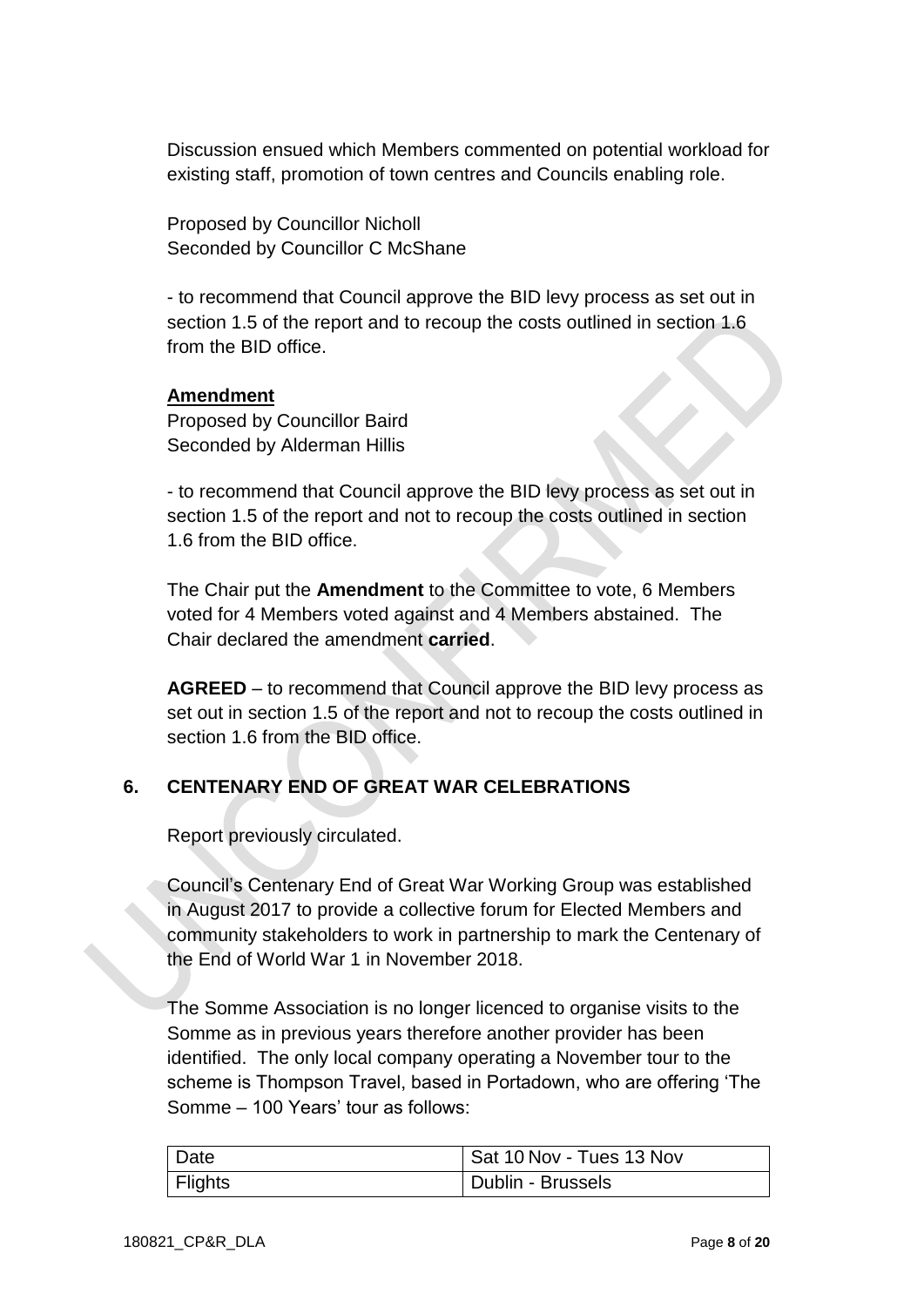Discussion ensued which Members commented on potential workload for existing staff, promotion of town centres and Councils enabling role.

Proposed by Councillor Nicholl Seconded by Councillor C McShane

- to recommend that Council approve the BID levy process as set out in section 1.5 of the report and to recoup the costs outlined in section 1.6 from the BID office.

### **Amendment**

Proposed by Councillor Baird Seconded by Alderman Hillis

- to recommend that Council approve the BID levy process as set out in section 1.5 of the report and not to recoup the costs outlined in section 1.6 from the BID office.

The Chair put the **Amendment** to the Committee to vote, 6 Members voted for 4 Members voted against and 4 Members abstained. The Chair declared the amendment **carried**.

**AGREED** – to recommend that Council approve the BID levy process as set out in section 1.5 of the report and not to recoup the costs outlined in section 1.6 from the BID office.

# **6. CENTENARY END OF GREAT WAR CELEBRATIONS**

Report previously circulated.

Council's Centenary End of Great War Working Group was established in August 2017 to provide a collective forum for Elected Members and community stakeholders to work in partnership to mark the Centenary of the End of World War 1 in November 2018.

The Somme Association is no longer licenced to organise visits to the Somme as in previous years therefore another provider has been identified. The only local company operating a November tour to the scheme is Thompson Travel, based in Portadown, who are offering 'The Somme – 100 Years' tour as follows:

| Date    | Sat 10 Nov - Tues 13 Nov |
|---------|--------------------------|
| Flights | Dublin - Brussels        |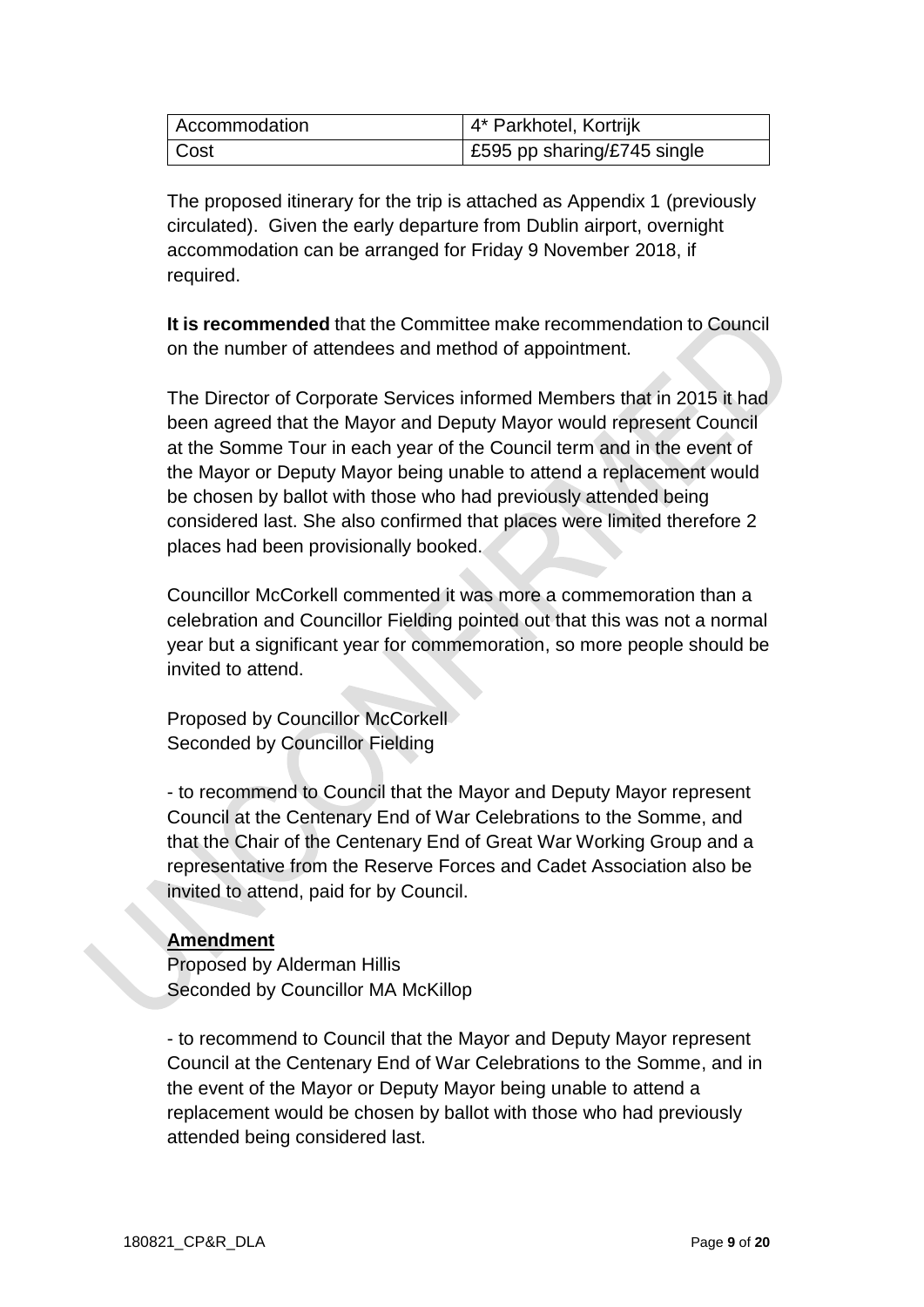| Accommodation | 4* Parkhotel, Kortrijk      |
|---------------|-----------------------------|
| Cost          | E595 pp sharing/£745 single |

The proposed itinerary for the trip is attached as Appendix 1 (previously circulated). Given the early departure from Dublin airport, overnight accommodation can be arranged for Friday 9 November 2018, if required.

**It is recommended** that the Committee make recommendation to Council on the number of attendees and method of appointment.

The Director of Corporate Services informed Members that in 2015 it had been agreed that the Mayor and Deputy Mayor would represent Council at the Somme Tour in each year of the Council term and in the event of the Mayor or Deputy Mayor being unable to attend a replacement would be chosen by ballot with those who had previously attended being considered last. She also confirmed that places were limited therefore 2 places had been provisionally booked.

Councillor McCorkell commented it was more a commemoration than a celebration and Councillor Fielding pointed out that this was not a normal year but a significant year for commemoration, so more people should be invited to attend.

Proposed by Councillor McCorkell Seconded by Councillor Fielding

- to recommend to Council that the Mayor and Deputy Mayor represent Council at the Centenary End of War Celebrations to the Somme, and that the Chair of the Centenary End of Great War Working Group and a representative from the Reserve Forces and Cadet Association also be invited to attend, paid for by Council.

### **Amendment**

Proposed by Alderman Hillis Seconded by Councillor MA McKillop

- to recommend to Council that the Mayor and Deputy Mayor represent Council at the Centenary End of War Celebrations to the Somme, and in the event of the Mayor or Deputy Mayor being unable to attend a replacement would be chosen by ballot with those who had previously attended being considered last.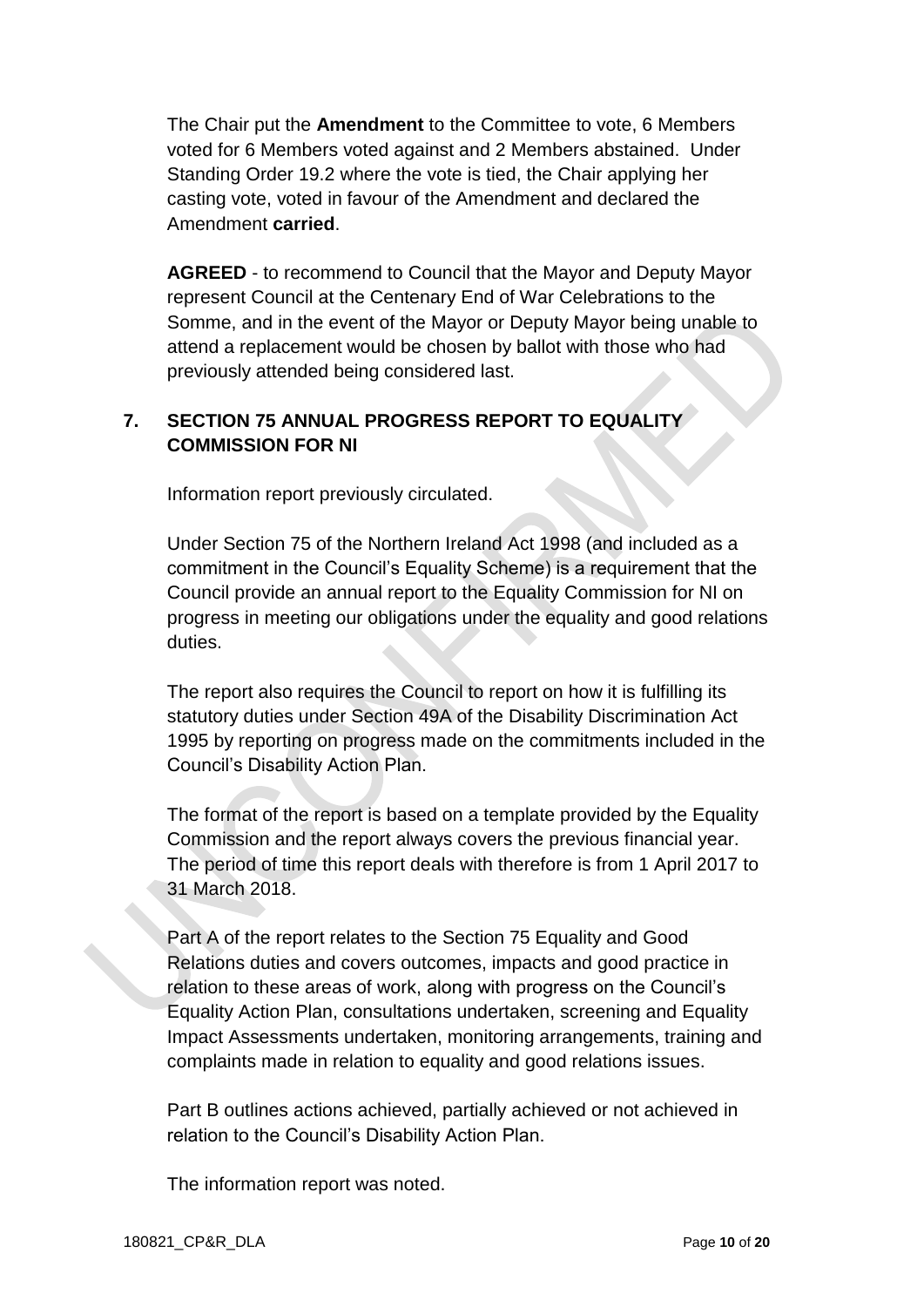The Chair put the **Amendment** to the Committee to vote, 6 Members voted for 6 Members voted against and 2 Members abstained. Under Standing Order 19.2 where the vote is tied, the Chair applying her casting vote, voted in favour of the Amendment and declared the Amendment **carried**.

**AGREED** - to recommend to Council that the Mayor and Deputy Mayor represent Council at the Centenary End of War Celebrations to the Somme, and in the event of the Mayor or Deputy Mayor being unable to attend a replacement would be chosen by ballot with those who had previously attended being considered last.

# **7. SECTION 75 ANNUAL PROGRESS REPORT TO EQUALITY COMMISSION FOR NI**

Information report previously circulated.

Under Section 75 of the Northern Ireland Act 1998 (and included as a commitment in the Council's Equality Scheme) is a requirement that the Council provide an annual report to the Equality Commission for NI on progress in meeting our obligations under the equality and good relations duties.

The report also requires the Council to report on how it is fulfilling its statutory duties under Section 49A of the Disability Discrimination Act 1995 by reporting on progress made on the commitments included in the Council's Disability Action Plan.

The format of the report is based on a template provided by the Equality Commission and the report always covers the previous financial year. The period of time this report deals with therefore is from 1 April 2017 to 31 March 2018.

Part A of the report relates to the Section 75 Equality and Good Relations duties and covers outcomes, impacts and good practice in relation to these areas of work, along with progress on the Council's Equality Action Plan, consultations undertaken, screening and Equality Impact Assessments undertaken, monitoring arrangements, training and complaints made in relation to equality and good relations issues.

Part B outlines actions achieved, partially achieved or not achieved in relation to the Council's Disability Action Plan.

The information report was noted.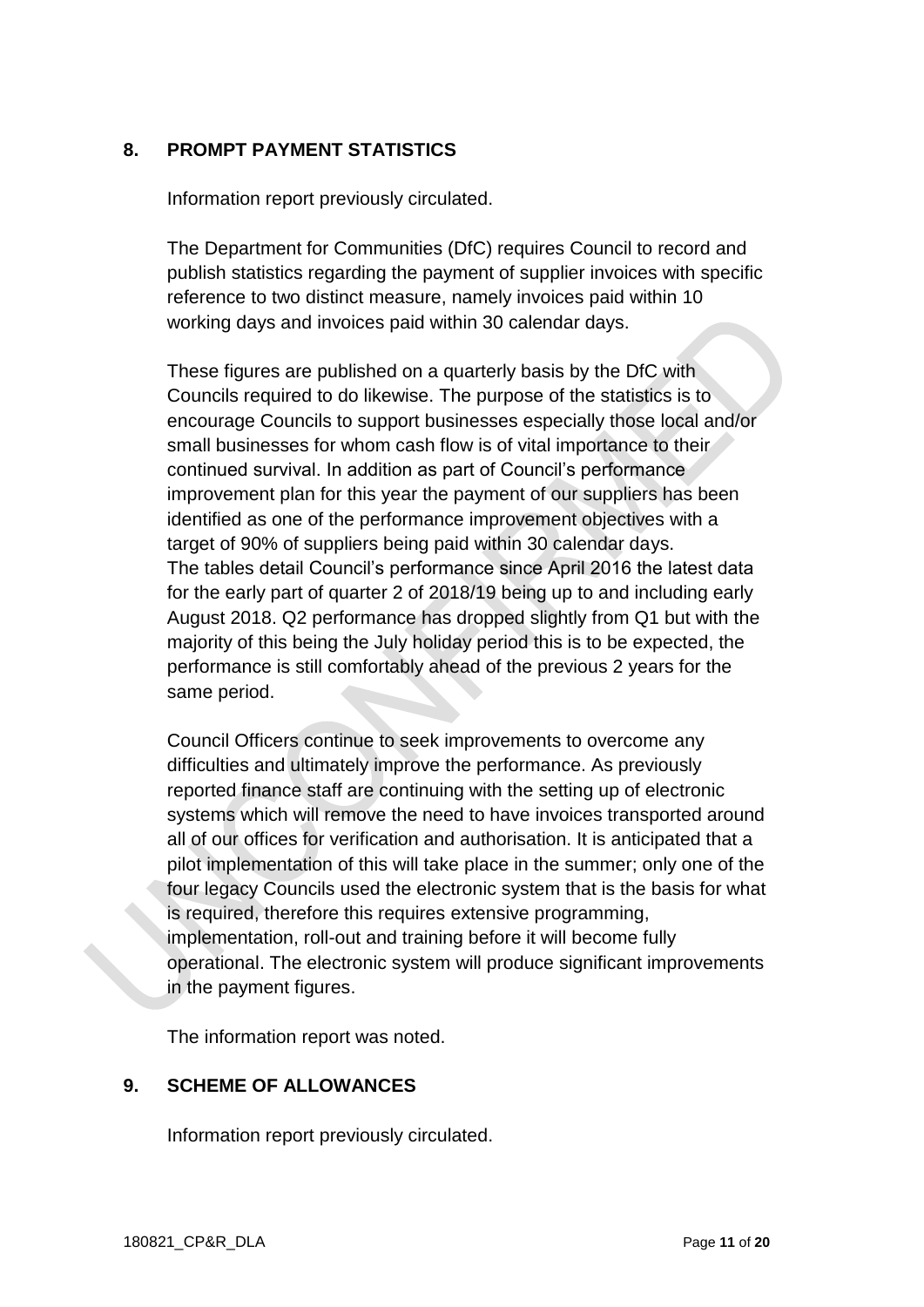### **8. PROMPT PAYMENT STATISTICS**

Information report previously circulated.

The Department for Communities (DfC) requires Council to record and publish statistics regarding the payment of supplier invoices with specific reference to two distinct measure, namely invoices paid within 10 working days and invoices paid within 30 calendar days.

These figures are published on a quarterly basis by the DfC with Councils required to do likewise. The purpose of the statistics is to encourage Councils to support businesses especially those local and/or small businesses for whom cash flow is of vital importance to their continued survival. In addition as part of Council's performance improvement plan for this year the payment of our suppliers has been identified as one of the performance improvement objectives with a target of 90% of suppliers being paid within 30 calendar days. The tables detail Council's performance since April 2016 the latest data for the early part of quarter 2 of 2018/19 being up to and including early August 2018. Q2 performance has dropped slightly from Q1 but with the majority of this being the July holiday period this is to be expected, the performance is still comfortably ahead of the previous 2 years for the same period.

Council Officers continue to seek improvements to overcome any difficulties and ultimately improve the performance. As previously reported finance staff are continuing with the setting up of electronic systems which will remove the need to have invoices transported around all of our offices for verification and authorisation. It is anticipated that a pilot implementation of this will take place in the summer; only one of the four legacy Councils used the electronic system that is the basis for what is required, therefore this requires extensive programming, implementation, roll-out and training before it will become fully operational. The electronic system will produce significant improvements in the payment figures.

The information report was noted.

### **9. SCHEME OF ALLOWANCES**

Information report previously circulated.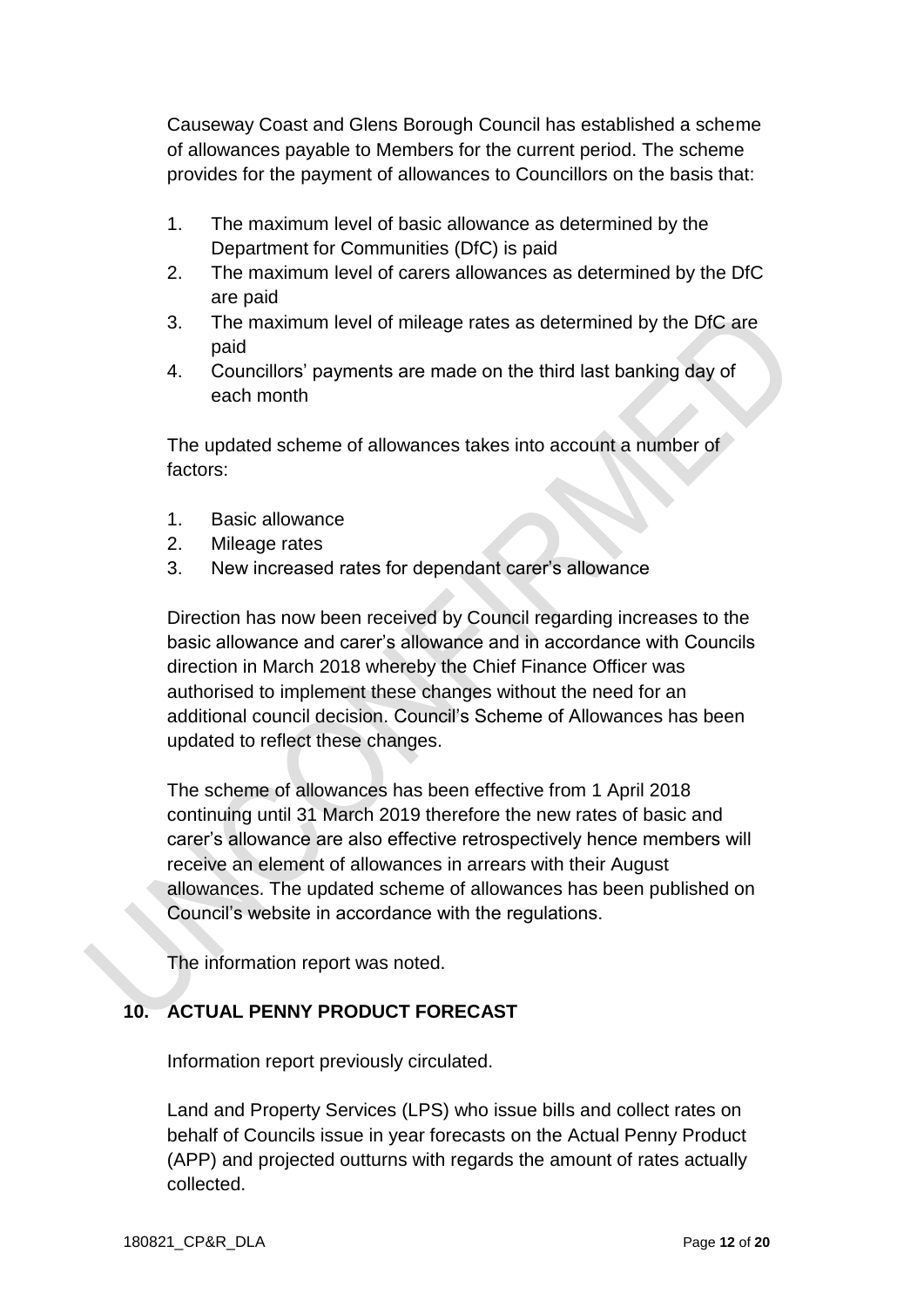Causeway Coast and Glens Borough Council has established a scheme of allowances payable to Members for the current period. The scheme provides for the payment of allowances to Councillors on the basis that:

- 1. The maximum level of basic allowance as determined by the Department for Communities (DfC) is paid
- 2. The maximum level of carers allowances as determined by the DfC are paid
- 3. The maximum level of mileage rates as determined by the DfC are paid
- 4. Councillors' payments are made on the third last banking day of each month

The updated scheme of allowances takes into account a number of factors:

- 1. Basic allowance
- 2. Mileage rates
- 3. New increased rates for dependant carer's allowance

Direction has now been received by Council regarding increases to the basic allowance and carer's allowance and in accordance with Councils direction in March 2018 whereby the Chief Finance Officer was authorised to implement these changes without the need for an additional council decision. Council's Scheme of Allowances has been updated to reflect these changes.

The scheme of allowances has been effective from 1 April 2018 continuing until 31 March 2019 therefore the new rates of basic and carer's allowance are also effective retrospectively hence members will receive an element of allowances in arrears with their August allowances. The updated scheme of allowances has been published on Council's website in accordance with the regulations.

The information report was noted.

# **10. ACTUAL PENNY PRODUCT FORECAST**

Information report previously circulated.

Land and Property Services (LPS) who issue bills and collect rates on behalf of Councils issue in year forecasts on the Actual Penny Product (APP) and projected outturns with regards the amount of rates actually collected.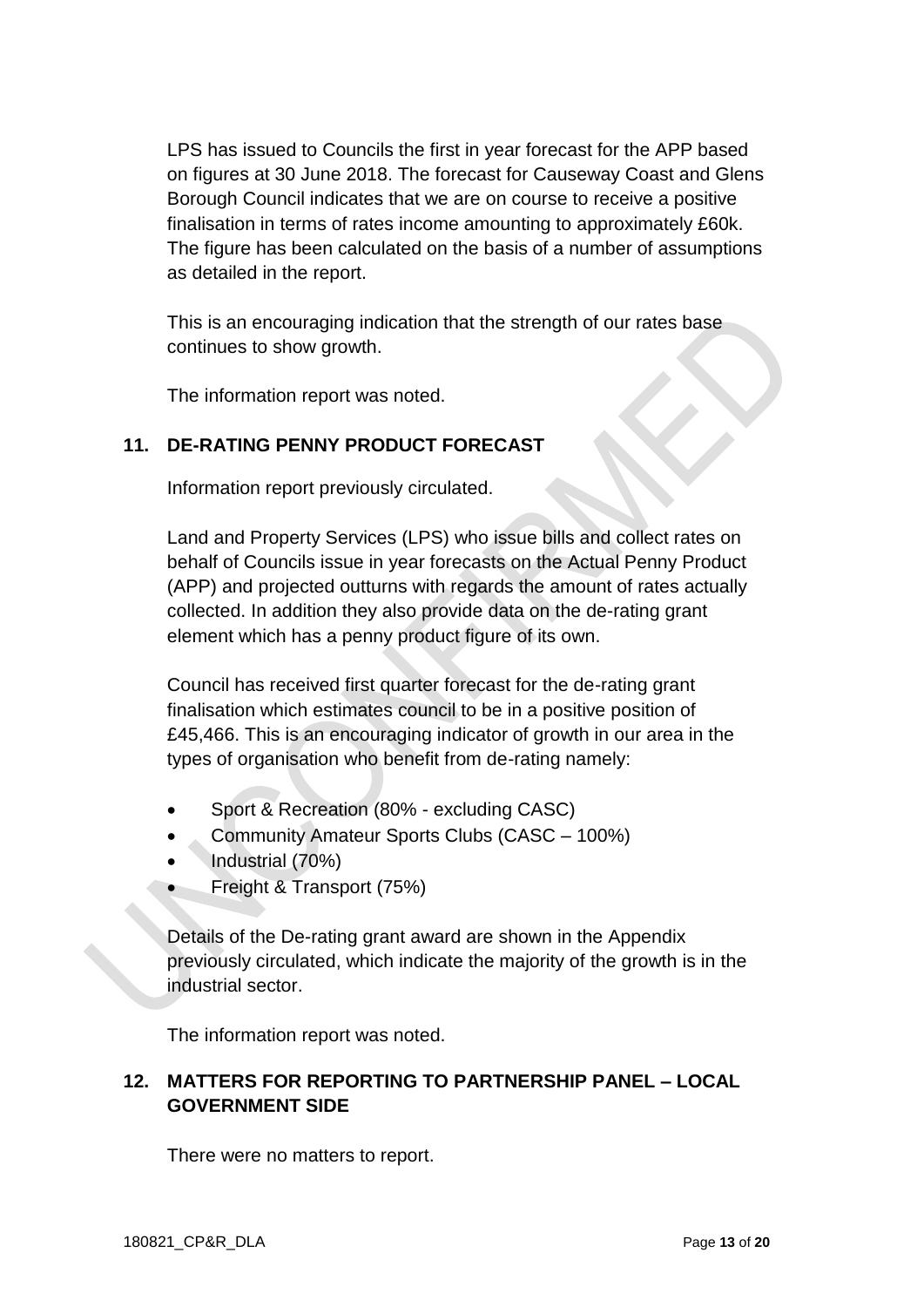LPS has issued to Councils the first in year forecast for the APP based on figures at 30 June 2018. The forecast for Causeway Coast and Glens Borough Council indicates that we are on course to receive a positive finalisation in terms of rates income amounting to approximately £60k. The figure has been calculated on the basis of a number of assumptions as detailed in the report.

This is an encouraging indication that the strength of our rates base continues to show growth.

The information report was noted.

### **11. DE-RATING PENNY PRODUCT FORECAST**

Information report previously circulated.

Land and Property Services (LPS) who issue bills and collect rates on behalf of Councils issue in year forecasts on the Actual Penny Product (APP) and projected outturns with regards the amount of rates actually collected. In addition they also provide data on the de-rating grant element which has a penny product figure of its own.

Council has received first quarter forecast for the de-rating grant finalisation which estimates council to be in a positive position of £45,466. This is an encouraging indicator of growth in our area in the types of organisation who benefit from de-rating namely:

- Sport & Recreation (80% excluding CASC)
- Community Amateur Sports Clubs (CASC 100%)
- Industrial (70%)
- Freight & Transport (75%)

Details of the De-rating grant award are shown in the Appendix previously circulated, which indicate the majority of the growth is in the industrial sector.

The information report was noted.

# **12. MATTERS FOR REPORTING TO PARTNERSHIP PANEL – LOCAL GOVERNMENT SIDE**

There were no matters to report.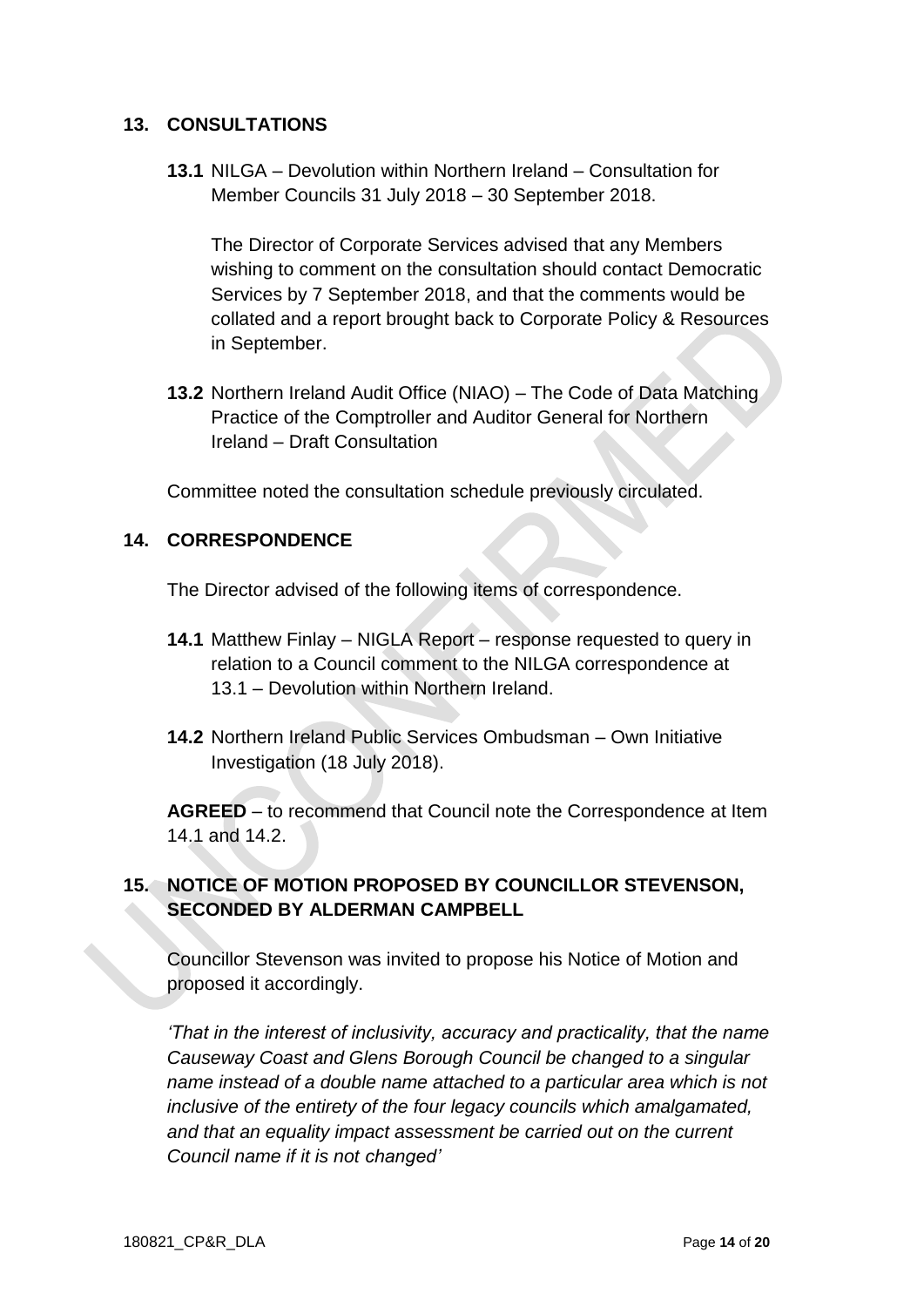### **13. CONSULTATIONS**

**13.1** NILGA – Devolution within Northern Ireland – Consultation for Member Councils 31 July 2018 – 30 September 2018.

The Director of Corporate Services advised that any Members wishing to comment on the consultation should contact Democratic Services by 7 September 2018, and that the comments would be collated and a report brought back to Corporate Policy & Resources in September.

**13.2** Northern Ireland Audit Office (NIAO) – The Code of Data Matching Practice of the Comptroller and Auditor General for Northern Ireland – Draft Consultation

Committee noted the consultation schedule previously circulated.

### **14. CORRESPONDENCE**

The Director advised of the following items of correspondence.

- **14.1** Matthew Finlay NIGLA Report response requested to query in relation to a Council comment to the NILGA correspondence at 13.1 – Devolution within Northern Ireland.
- **14.2** Northern Ireland Public Services Ombudsman Own Initiative Investigation (18 July 2018).

**AGREED** – to recommend that Council note the Correspondence at Item 14.1 and 14.2.

## **15. NOTICE OF MOTION PROPOSED BY COUNCILLOR STEVENSON, SECONDED BY ALDERMAN CAMPBELL**

Councillor Stevenson was invited to propose his Notice of Motion and proposed it accordingly.

*'That in the interest of inclusivity, accuracy and practicality, that the name Causeway Coast and Glens Borough Council be changed to a singular name instead of a double name attached to a particular area which is not inclusive of the entirety of the four legacy councils which amalgamated, and that an equality impact assessment be carried out on the current Council name if it is not changed'*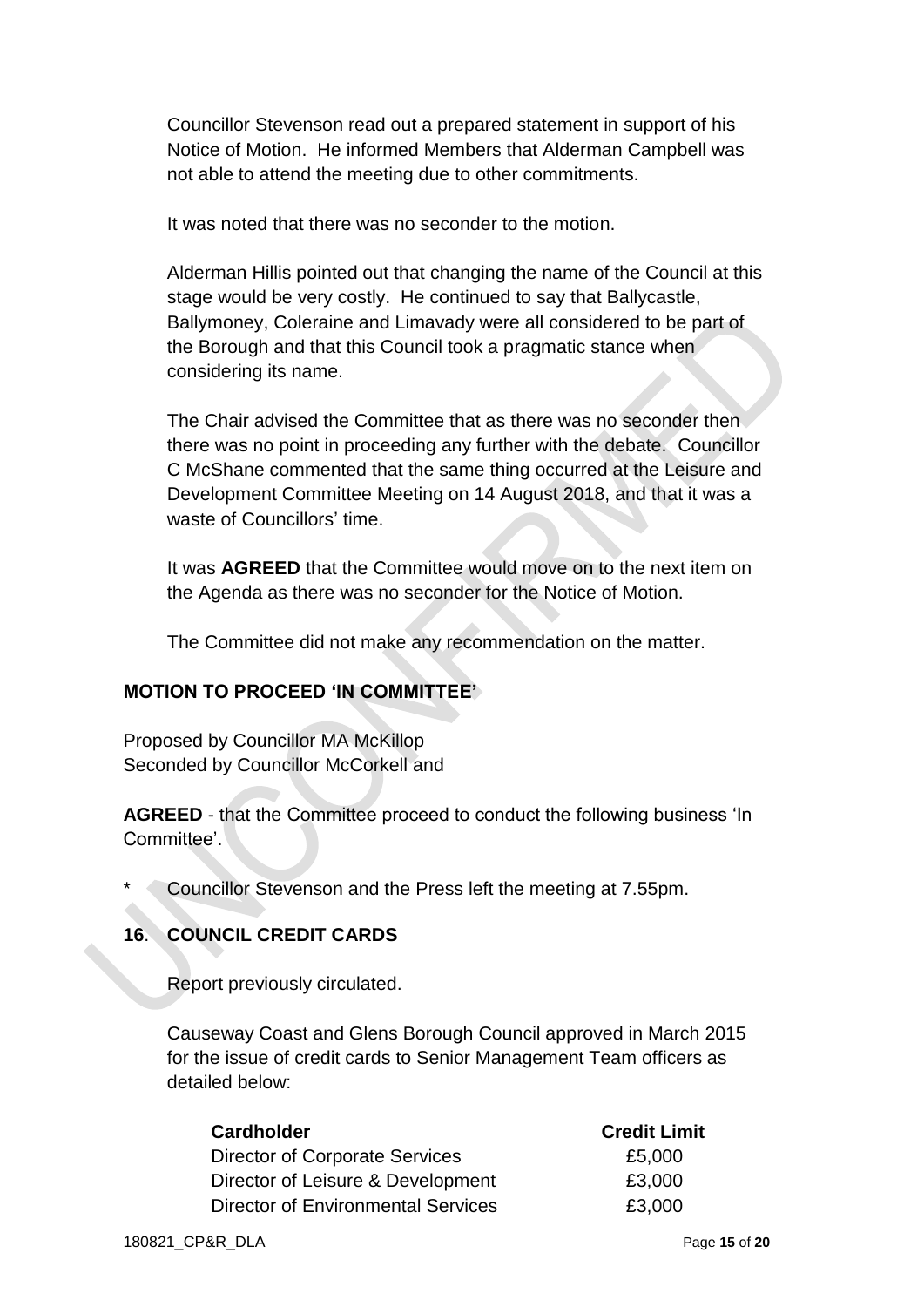Councillor Stevenson read out a prepared statement in support of his Notice of Motion. He informed Members that Alderman Campbell was not able to attend the meeting due to other commitments.

It was noted that there was no seconder to the motion.

Alderman Hillis pointed out that changing the name of the Council at this stage would be very costly. He continued to say that Ballycastle, Ballymoney, Coleraine and Limavady were all considered to be part of the Borough and that this Council took a pragmatic stance when considering its name.

The Chair advised the Committee that as there was no seconder then there was no point in proceeding any further with the debate. Councillor C McShane commented that the same thing occurred at the Leisure and Development Committee Meeting on 14 August 2018, and that it was a waste of Councillors' time.

It was **AGREED** that the Committee would move on to the next item on the Agenda as there was no seconder for the Notice of Motion.

The Committee did not make any recommendation on the matter.

### **MOTION TO PROCEED 'IN COMMITTEE'**

Proposed by Councillor MA McKillop Seconded by Councillor McCorkell and

**AGREED** - that the Committee proceed to conduct the following business 'In Committee'.

Councillor Stevenson and the Press left the meeting at 7.55pm.

## **16**. **COUNCIL CREDIT CARDS**

Report previously circulated.

Causeway Coast and Glens Borough Council approved in March 2015 for the issue of credit cards to Senior Management Team officers as detailed below:

| <b>Cardholder</b>                         | <b>Credit Limit</b> |
|-------------------------------------------|---------------------|
| Director of Corporate Services            | £5,000              |
| Director of Leisure & Development         | £3,000              |
| <b>Director of Environmental Services</b> | £3,000              |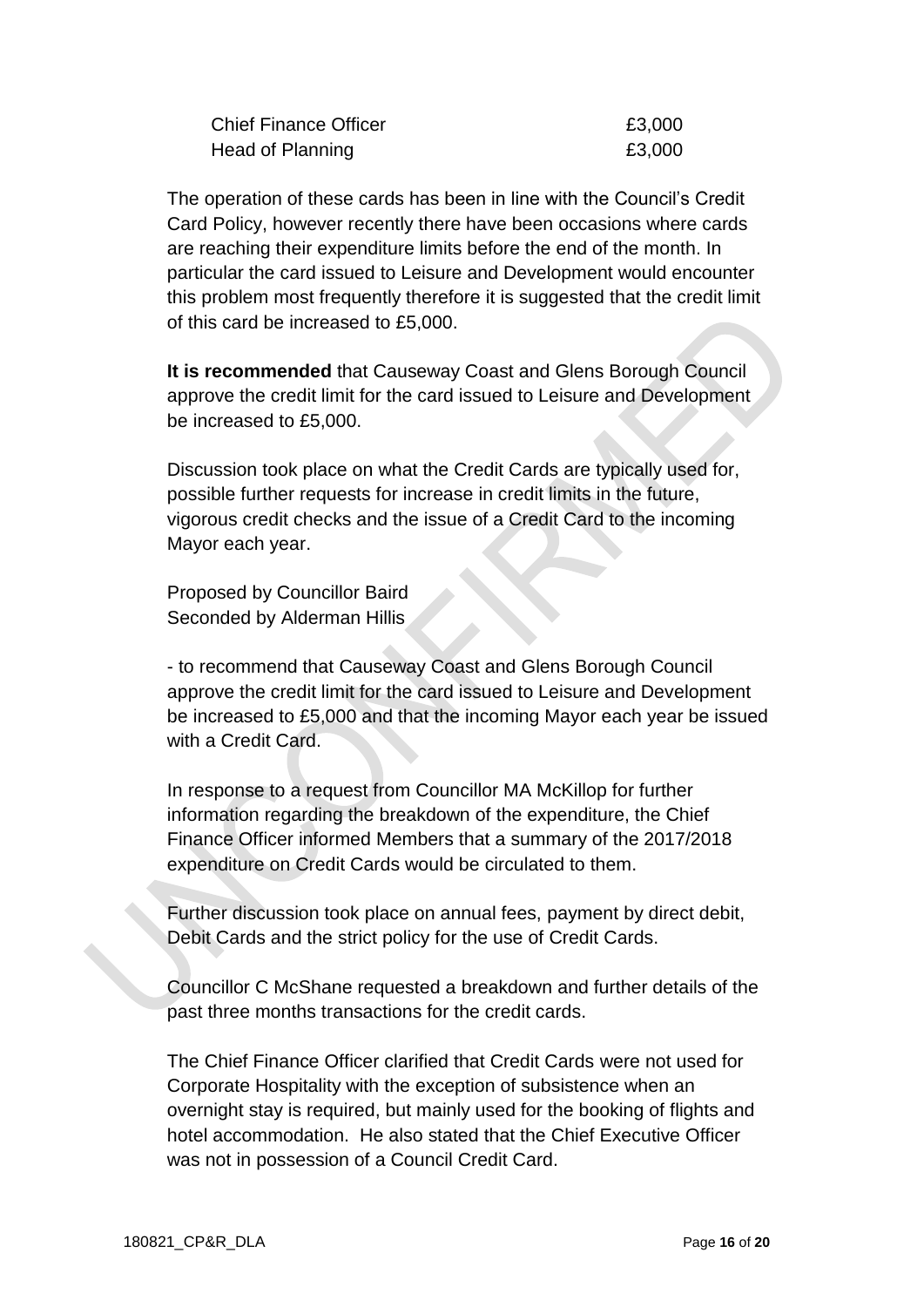| <b>Chief Finance Officer</b> | £3,000 |
|------------------------------|--------|
| Head of Planning             | £3,000 |

The operation of these cards has been in line with the Council's Credit Card Policy, however recently there have been occasions where cards are reaching their expenditure limits before the end of the month. In particular the card issued to Leisure and Development would encounter this problem most frequently therefore it is suggested that the credit limit of this card be increased to £5,000.

**It is recommended** that Causeway Coast and Glens Borough Council approve the credit limit for the card issued to Leisure and Development be increased to £5,000.

Discussion took place on what the Credit Cards are typically used for, possible further requests for increase in credit limits in the future, vigorous credit checks and the issue of a Credit Card to the incoming Mayor each year.

Proposed by Councillor Baird Seconded by Alderman Hillis

- to recommend that Causeway Coast and Glens Borough Council approve the credit limit for the card issued to Leisure and Development be increased to £5,000 and that the incoming Mayor each year be issued with a Credit Card.

In response to a request from Councillor MA McKillop for further information regarding the breakdown of the expenditure, the Chief Finance Officer informed Members that a summary of the 2017/2018 expenditure on Credit Cards would be circulated to them.

Further discussion took place on annual fees, payment by direct debit, Debit Cards and the strict policy for the use of Credit Cards.

Councillor C McShane requested a breakdown and further details of the past three months transactions for the credit cards.

The Chief Finance Officer clarified that Credit Cards were not used for Corporate Hospitality with the exception of subsistence when an overnight stay is required, but mainly used for the booking of flights and hotel accommodation. He also stated that the Chief Executive Officer was not in possession of a Council Credit Card.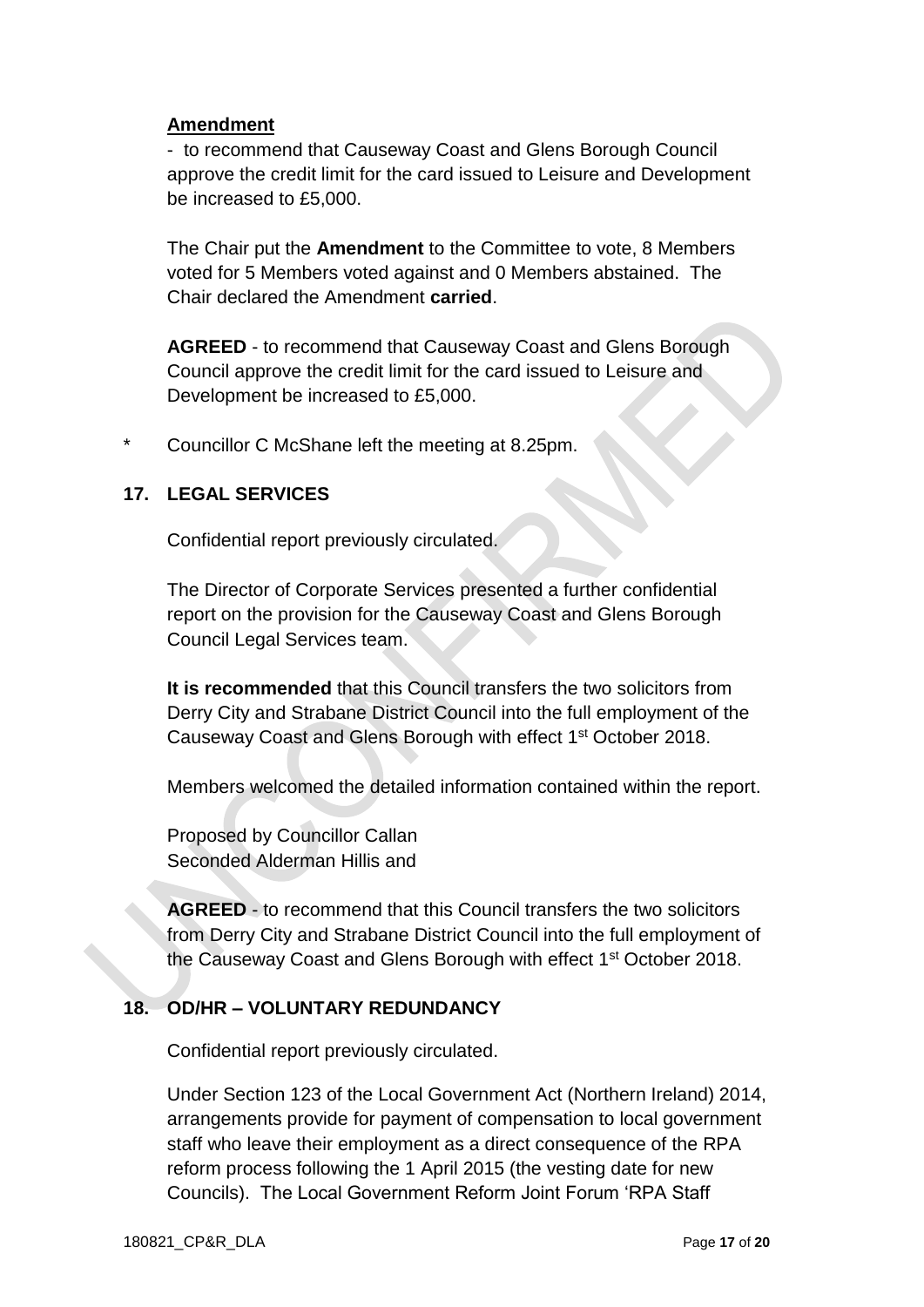#### **Amendment**

- to recommend that Causeway Coast and Glens Borough Council approve the credit limit for the card issued to Leisure and Development be increased to £5,000.

The Chair put the **Amendment** to the Committee to vote, 8 Members voted for 5 Members voted against and 0 Members abstained. The Chair declared the Amendment **carried**.

**AGREED** - to recommend that Causeway Coast and Glens Borough Council approve the credit limit for the card issued to Leisure and Development be increased to £5,000.

Councillor C McShane left the meeting at 8.25pm.

### **17. LEGAL SERVICES**

Confidential report previously circulated.

The Director of Corporate Services presented a further confidential report on the provision for the Causeway Coast and Glens Borough Council Legal Services team.

**It is recommended** that this Council transfers the two solicitors from Derry City and Strabane District Council into the full employment of the Causeway Coast and Glens Borough with effect 1st October 2018.

Members welcomed the detailed information contained within the report.

Proposed by Councillor Callan Seconded Alderman Hillis and

**AGREED** - to recommend that this Council transfers the two solicitors from Derry City and Strabane District Council into the full employment of the Causeway Coast and Glens Borough with effect 1st October 2018.

### **18. OD/HR – VOLUNTARY REDUNDANCY**

Confidential report previously circulated.

Under Section 123 of the Local Government Act (Northern Ireland) 2014, arrangements provide for payment of compensation to local government staff who leave their employment as a direct consequence of the RPA reform process following the 1 April 2015 (the vesting date for new Councils). The Local Government Reform Joint Forum 'RPA Staff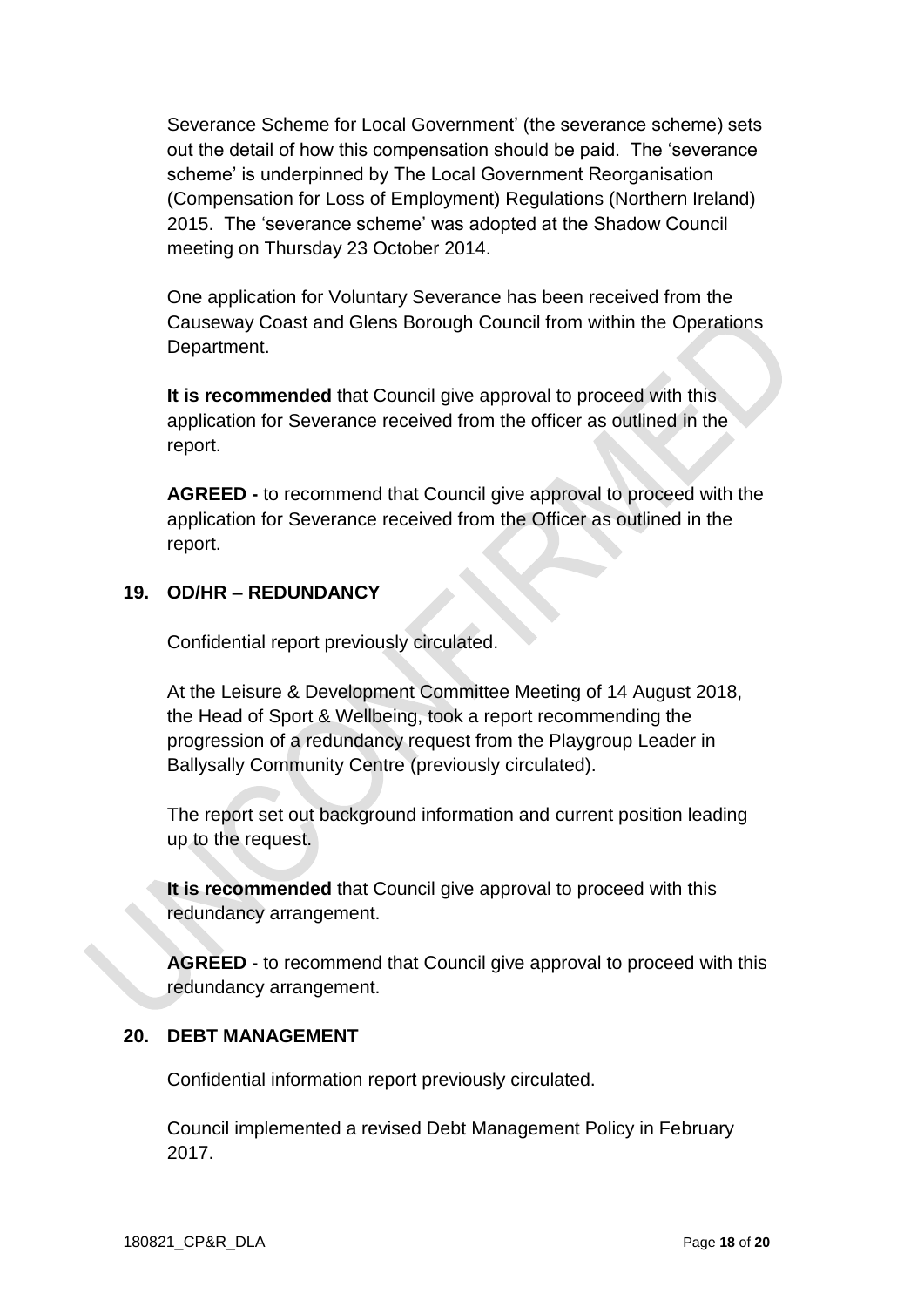Severance Scheme for Local Government' (the severance scheme) sets out the detail of how this compensation should be paid. The 'severance scheme' is underpinned by The Local Government Reorganisation (Compensation for Loss of Employment) Regulations (Northern Ireland) 2015. The 'severance scheme' was adopted at the Shadow Council meeting on Thursday 23 October 2014.

One application for Voluntary Severance has been received from the Causeway Coast and Glens Borough Council from within the Operations Department.

**It is recommended** that Council give approval to proceed with this application for Severance received from the officer as outlined in the report.

**AGREED -** to recommend that Council give approval to proceed with the application for Severance received from the Officer as outlined in the report.

### **19. OD/HR – REDUNDANCY**

Confidential report previously circulated.

At the Leisure & Development Committee Meeting of 14 August 2018, the Head of Sport & Wellbeing, took a report recommending the progression of a redundancy request from the Playgroup Leader in Ballysally Community Centre (previously circulated).

The report set out background information and current position leading up to the request.

**It is recommended** that Council give approval to proceed with this redundancy arrangement.

**AGREED** - to recommend that Council give approval to proceed with this redundancy arrangement.

### **20. DEBT MANAGEMENT**

Confidential information report previously circulated.

Council implemented a revised Debt Management Policy in February 2017.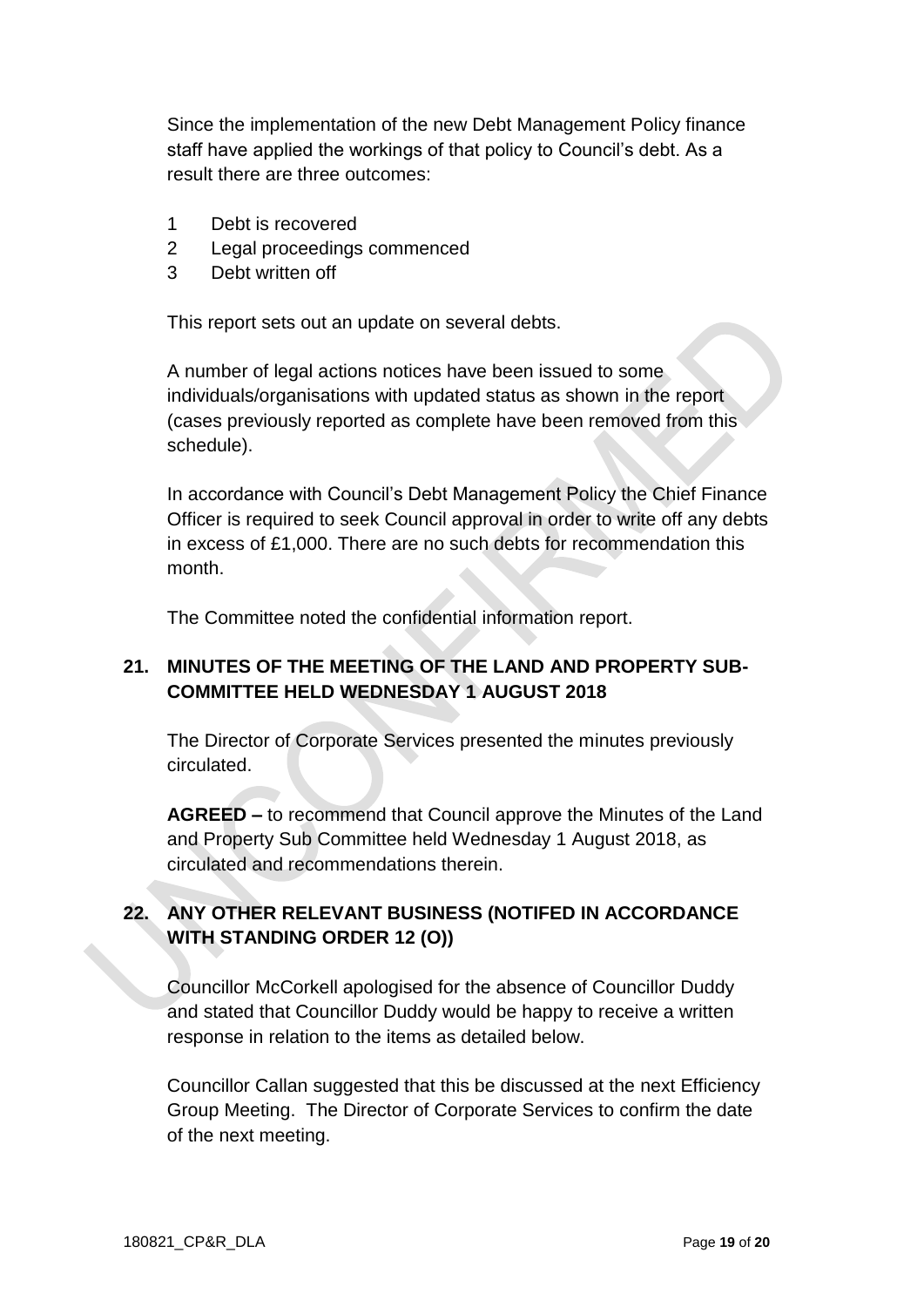Since the implementation of the new Debt Management Policy finance staff have applied the workings of that policy to Council's debt. As a result there are three outcomes:

- 1 Debt is recovered
- 2 Legal proceedings commenced
- 3 Debt written off

This report sets out an update on several debts.

A number of legal actions notices have been issued to some individuals/organisations with updated status as shown in the report (cases previously reported as complete have been removed from this schedule).

In accordance with Council's Debt Management Policy the Chief Finance Officer is required to seek Council approval in order to write off any debts in excess of £1,000. There are no such debts for recommendation this month.

The Committee noted the confidential information report.

## **21. MINUTES OF THE MEETING OF THE LAND AND PROPERTY SUB-COMMITTEE HELD WEDNESDAY 1 AUGUST 2018**

The Director of Corporate Services presented the minutes previously circulated.

**AGREED –** to recommend that Council approve the Minutes of the Land and Property Sub Committee held Wednesday 1 August 2018, as circulated and recommendations therein.

# **22. ANY OTHER RELEVANT BUSINESS (NOTIFED IN ACCORDANCE WITH STANDING ORDER 12 (O))**

Councillor McCorkell apologised for the absence of Councillor Duddy and stated that Councillor Duddy would be happy to receive a written response in relation to the items as detailed below.

Councillor Callan suggested that this be discussed at the next Efficiency Group Meeting. The Director of Corporate Services to confirm the date of the next meeting.